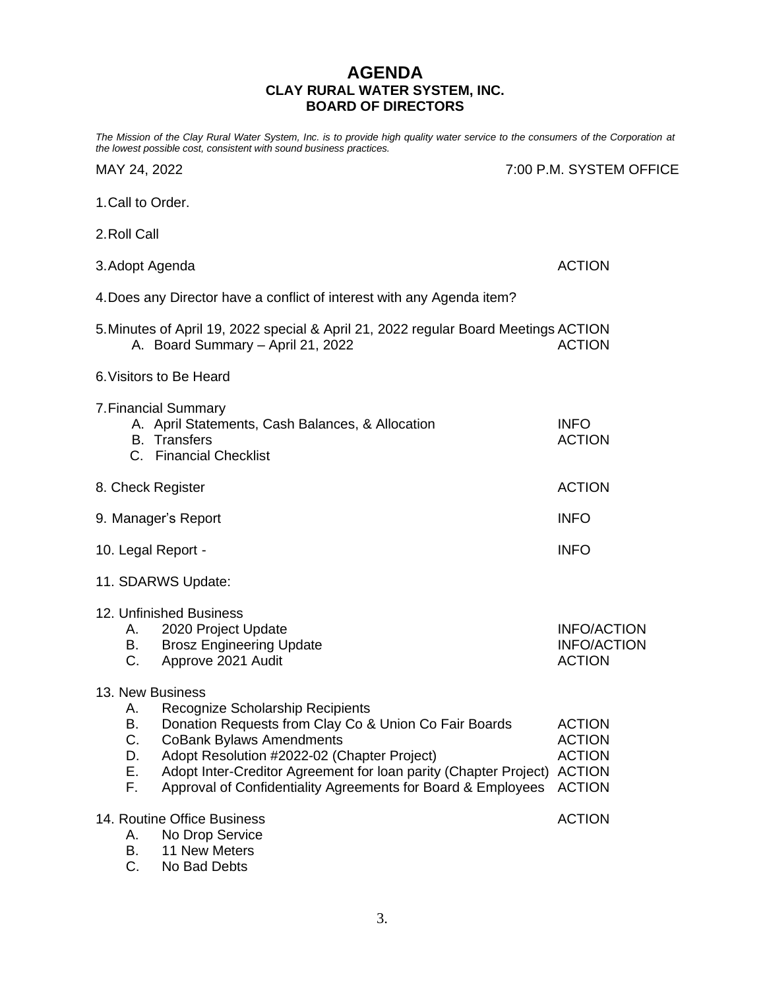# **AGENDA CLAY RURAL WATER SYSTEM, INC. BOARD OF DIRECTORS**

*The Mission of the Clay Rural Water System, Inc. is to provide high quality water service to the consumers of the Corporation at the lowest possible cost, consistent with sound business practices.*

|  |  | MAY 24, 2022 |
|--|--|--------------|
|--|--|--------------|

7:00 P.M. SYSTEM OFFICE

- 1.Call to Order.
- 2.Roll Call
- 3.Adopt Agenda ACTION 4.Does any Director have a conflict of interest with any Agenda item? 5.Minutes of April 19, 2022 special & April 21, 2022 regular Board Meetings ACTION A. Board Summary – April 21, 2022 ACTION 6.Visitors to Be Heard 7.Financial Summary A. April Statements, Cash Balances, & Allocation INFO
- B. Transfers ACTION C. Financial Checklist 8. Check Register ACTION 9. Manager's Report **INFO**
- 10. Legal Report INFO
- 11. SDARWS Update:

| 12. Unfinished Business         |             |
|---------------------------------|-------------|
| A. 2020 Project Update          | INFO/ACTION |
| <b>Brosz Engineering Update</b> | INFO/ACTION |
| C. Approve 2021 Audit           | ACTION      |

#### 13. New Business

- A. Recognize Scholarship Recipients
- B. Donation Requests from Clay Co & Union Co Fair Boards ACTION C. CoBank Bylaws Amendments **C. CoRank Bylaws Amendments** ACTION
- 
- D. Adopt Resolution #2022-02 (Chapter Project) ACTION E. Adopt Inter-Creditor Agreement for loan parity (Chapter Project) ACTION
- F. Approval of Confidentiality Agreements for Board & Employees ACTION

| 14. Routine Office Business | <b>ACTION</b> |
|-----------------------------|---------------|
| A. No Drop Service          |               |

- B. 11 New Meters
- C. No Bad Debts